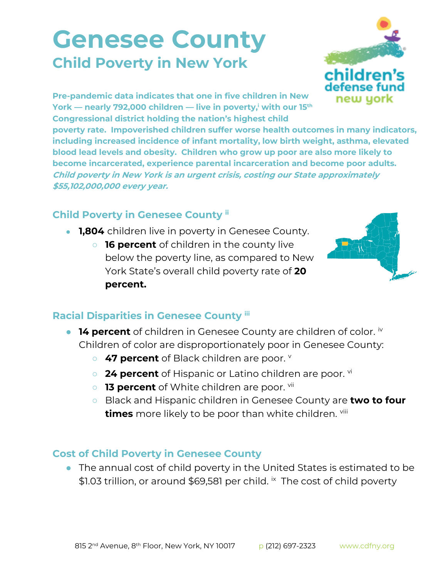## **Genesee County Child Poverty in New York**



**Pre-pandemic data indicates that one in five children in New York — nearly 792,000 children — live in poverty,<sup>i</sup> with our 15th Congressional district holding the nation's highest child** 

**poverty rate. Impoverished children suffer worse health outcomes in many indicators, including increased incidence of infant mortality, low birth weight, asthma, elevated blood lead levels and obesity. Children who grow up poor are also more likely to become incarcerated, experience parental incarceration and become poor adults. Child poverty in New York is an urgent crisis, costing our State approximately \$55,102,000,000 every year.**

## **Child Poverty in Genesee County ii**

- **1,804** children live in poverty in Genesee County.
	- **16 percent** of children in the county live below the poverty line, as compared to New York State's overall child poverty rate of **20 percent.**



## **Racial Disparities in Genesee County iii**

- **14 percent** of children in Genesee County are children of color. iv Children of color are disproportionately poor in Genesee County:
	- 47 percent of Black children are poor. **v**
	- **24 percent** of Hispanic or Latino children are poor. <sup>vi</sup>
	- **13 percent** of White children are poor. vii
	- Black and Hispanic children in Genesee County are **two to four times** more likely to be poor than white children. viii

## **Cost of Child Poverty in Genesee County**

● The annual cost of child poverty in the United States is estimated to be \$1.03 trillion, or around \$69,581 per child. *i*x The cost of child poverty